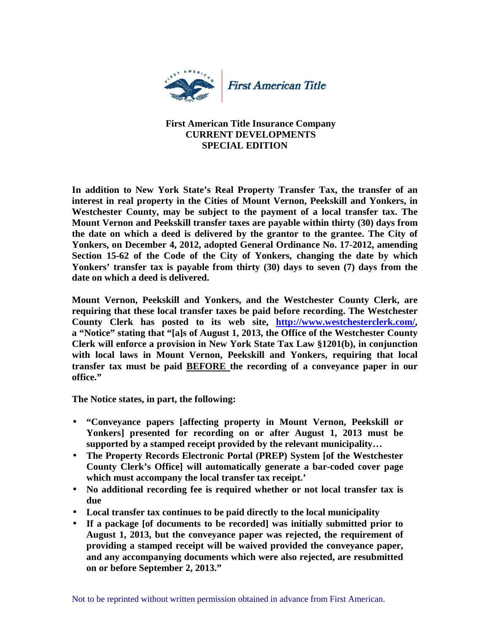

## **First American Title Insurance Company CURRENT DEVELOPMENTS SPECIAL EDITION**

**In addition to New York State's Real Property Transfer Tax, the transfer of an interest in real property in the Cities of Mount Vernon, Peekskill and Yonkers, in Westchester County, may be subject to the payment of a local transfer tax. The Mount Vernon and Peekskill transfer taxes are payable within thirty (30) days from the date on which a deed is delivered by the grantor to the grantee. The City of Yonkers, on December 4, 2012, adopted General Ordinance No. 17-2012, amending Section 15-62 of the Code of the City of Yonkers, changing the date by which Yonkers' transfer tax is payable from thirty (30) days to seven (7) days from the date on which a deed is delivered.** 

**Mount Vernon, Peekskill and Yonkers, and the Westchester County Clerk, are requiring that these local transfer taxes be paid before recording. The Westchester County Clerk has posted to its web site, http://www.westchesterclerk.com/, a "Notice" stating that "[a]s of August 1, 2013, the Office of the Westchester County Clerk will enforce a provision in New York State Tax Law §1201(b), in conjunction with local laws in Mount Vernon, Peekskill and Yonkers, requiring that local transfer tax must be paid BEFORE the recording of a conveyance paper in our office."** 

**The Notice states, in part, the following:** 

- **"Conveyance papers [affecting property in Mount Vernon, Peekskill or Yonkers] presented for recording on or after August 1, 2013 must be supported by a stamped receipt provided by the relevant municipality…**
- **The Property Records Electronic Portal (PREP) System [of the Westchester County Clerk's Office] will automatically generate a bar-coded cover page which must accompany the local transfer tax receipt.'**
- **No additional recording fee is required whether or not local transfer tax is due**
- **Local transfer tax continues to be paid directly to the local municipality**
- **If a package [of documents to be recorded] was initially submitted prior to August 1, 2013, but the conveyance paper was rejected, the requirement of providing a stamped receipt will be waived provided the conveyance paper, and any accompanying documents which were also rejected, are resubmitted on or before September 2, 2013."**